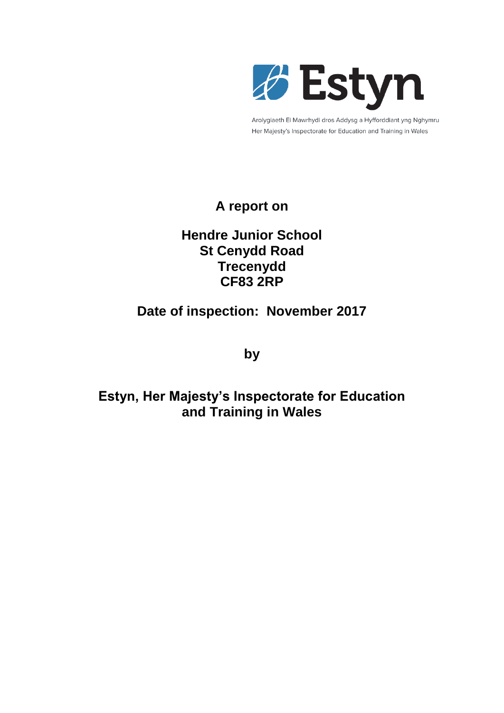

Arolygiaeth Ei Mawrhydi dros Addysg a Hyfforddiant yng Nghymru Her Majesty's Inspectorate for Education and Training in Wales

## **A report on**

### **Hendre Junior School St Cenydd Road Trecenydd CF83 2RP**

## **Date of inspection: November 2017**

**by**

# **Estyn, Her Majesty's Inspectorate for Education and Training in Wales**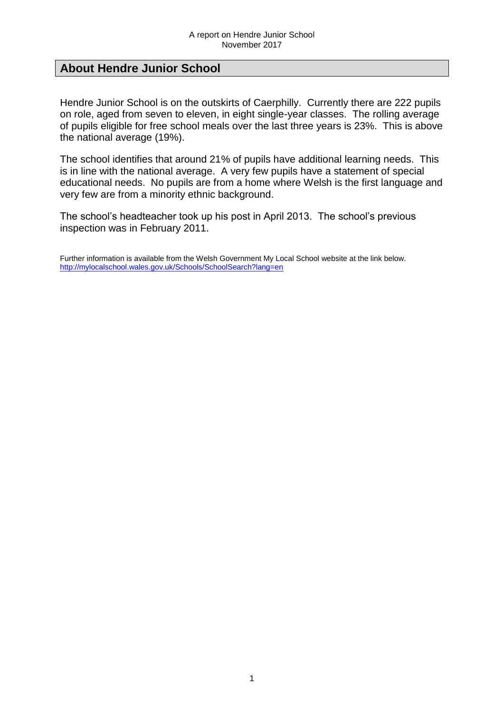#### **About Hendre Junior School**

Hendre Junior School is on the outskirts of Caerphilly. Currently there are 222 pupils on role, aged from seven to eleven, in eight single-year classes. The rolling average of pupils eligible for free school meals over the last three years is 23%. This is above the national average (19%).

The school identifies that around 21% of pupils have additional learning needs. This is in line with the national average. A very few pupils have a statement of special educational needs. No pupils are from a home where Welsh is the first language and very few are from a minority ethnic background.

The school's headteacher took up his post in April 2013. The school's previous inspection was in February 2011.

Further information is available from the Welsh Government My Local School website at the link below. <http://mylocalschool.wales.gov.uk/Schools/SchoolSearch?lang=en>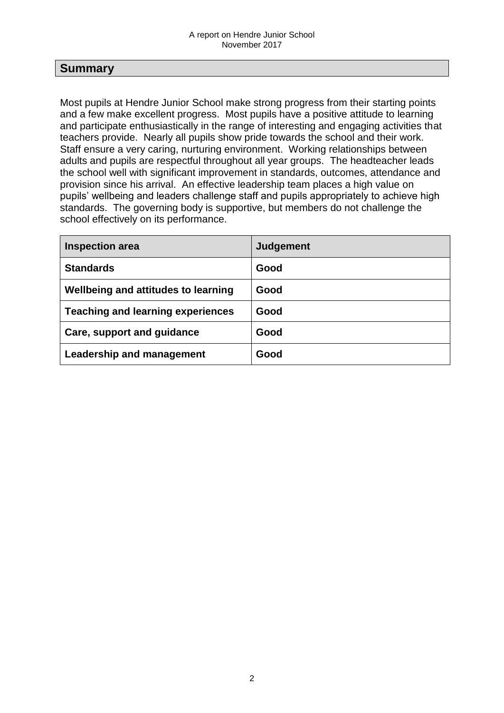#### **Summary**

Most pupils at Hendre Junior School make strong progress from their starting points and a few make excellent progress. Most pupils have a positive attitude to learning and participate enthusiastically in the range of interesting and engaging activities that teachers provide. Nearly all pupils show pride towards the school and their work. Staff ensure a very caring, nurturing environment. Working relationships between adults and pupils are respectful throughout all year groups. The headteacher leads the school well with significant improvement in standards, outcomes, attendance and provision since his arrival. An effective leadership team places a high value on pupils' wellbeing and leaders challenge staff and pupils appropriately to achieve high standards. The governing body is supportive, but members do not challenge the school effectively on its performance.

| <b>Inspection area</b>                   | Judgement |
|------------------------------------------|-----------|
| <b>Standards</b>                         | Good      |
| Wellbeing and attitudes to learning      | Good      |
| <b>Teaching and learning experiences</b> | Good      |
| Care, support and guidance               | Good      |
| Leadership and management                | Good      |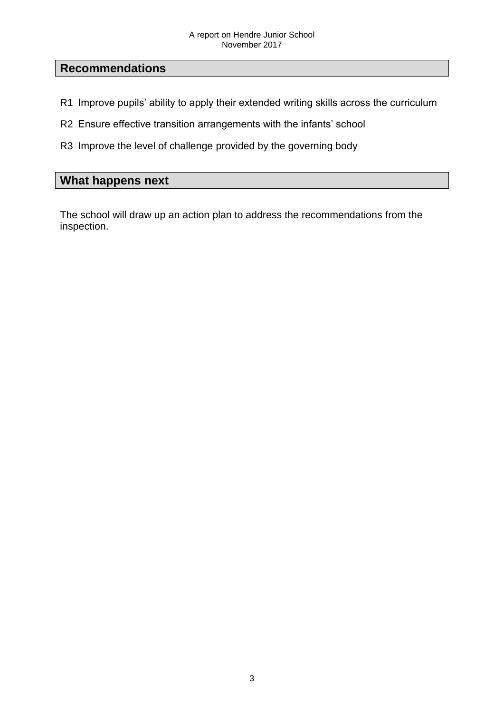### **Recommendations**

- R1 Improve pupils' ability to apply their extended writing skills across the curriculum
- R2 Ensure effective transition arrangements with the infants' school
- R3 Improve the level of challenge provided by the governing body

### **What happens next**

The school will draw up an action plan to address the recommendations from the inspection.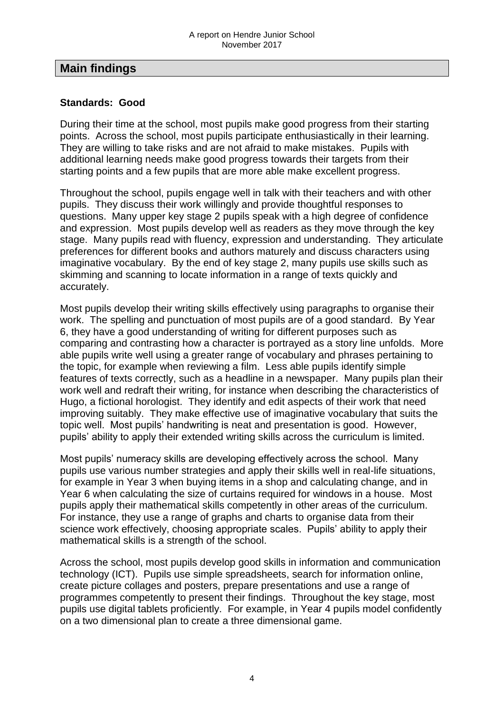#### **Main findings**

#### **Standards: Good**

During their time at the school, most pupils make good progress from their starting points. Across the school, most pupils participate enthusiastically in their learning. They are willing to take risks and are not afraid to make mistakes. Pupils with additional learning needs make good progress towards their targets from their starting points and a few pupils that are more able make excellent progress.

Throughout the school, pupils engage well in talk with their teachers and with other pupils. They discuss their work willingly and provide thoughtful responses to questions. Many upper key stage 2 pupils speak with a high degree of confidence and expression. Most pupils develop well as readers as they move through the key stage. Many pupils read with fluency, expression and understanding. They articulate preferences for different books and authors maturely and discuss characters using imaginative vocabulary. By the end of key stage 2, many pupils use skills such as skimming and scanning to locate information in a range of texts quickly and accurately.

Most pupils develop their writing skills effectively using paragraphs to organise their work. The spelling and punctuation of most pupils are of a good standard. By Year 6, they have a good understanding of writing for different purposes such as comparing and contrasting how a character is portrayed as a story line unfolds. More able pupils write well using a greater range of vocabulary and phrases pertaining to the topic, for example when reviewing a film. Less able pupils identify simple features of texts correctly, such as a headline in a newspaper. Many pupils plan their work well and redraft their writing, for instance when describing the characteristics of Hugo, a fictional horologist. They identify and edit aspects of their work that need improving suitably. They make effective use of imaginative vocabulary that suits the topic well. Most pupils' handwriting is neat and presentation is good. However, pupils' ability to apply their extended writing skills across the curriculum is limited.

Most pupils' numeracy skills are developing effectively across the school. Many pupils use various number strategies and apply their skills well in real-life situations, for example in Year 3 when buying items in a shop and calculating change, and in Year 6 when calculating the size of curtains required for windows in a house. Most pupils apply their mathematical skills competently in other areas of the curriculum. For instance, they use a range of graphs and charts to organise data from their science work effectively, choosing appropriate scales. Pupils' ability to apply their mathematical skills is a strength of the school.

Across the school, most pupils develop good skills in information and communication technology (ICT). Pupils use simple spreadsheets, search for information online, create picture collages and posters, prepare presentations and use a range of programmes competently to present their findings. Throughout the key stage, most pupils use digital tablets proficiently. For example, in Year 4 pupils model confidently on a two dimensional plan to create a three dimensional game.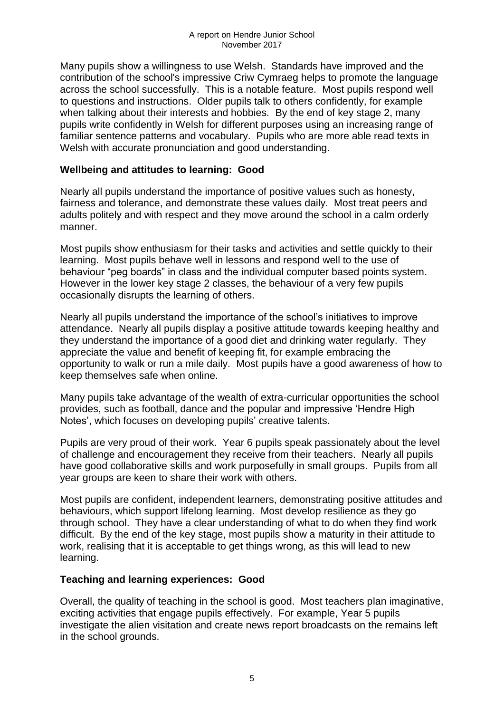Many pupils show a willingness to use Welsh. Standards have improved and the contribution of the school's impressive Criw Cymraeg helps to promote the language across the school successfully. This is a notable feature. Most pupils respond well to questions and instructions. Older pupils talk to others confidently, for example when talking about their interests and hobbies. By the end of key stage 2, many pupils write confidently in Welsh for different purposes using an increasing range of familiar sentence patterns and vocabulary. Pupils who are more able read texts in Welsh with accurate pronunciation and good understanding.

#### **Wellbeing and attitudes to learning: Good**

Nearly all pupils understand the importance of positive values such as honesty, fairness and tolerance, and demonstrate these values daily. Most treat peers and adults politely and with respect and they move around the school in a calm orderly manner.

Most pupils show enthusiasm for their tasks and activities and settle quickly to their learning. Most pupils behave well in lessons and respond well to the use of behaviour "peg boards" in class and the individual computer based points system. However in the lower key stage 2 classes, the behaviour of a very few pupils occasionally disrupts the learning of others.

Nearly all pupils understand the importance of the school's initiatives to improve attendance. Nearly all pupils display a positive attitude towards keeping healthy and they understand the importance of a good diet and drinking water regularly. They appreciate the value and benefit of keeping fit, for example embracing the opportunity to walk or run a mile daily. Most pupils have a good awareness of how to keep themselves safe when online.

Many pupils take advantage of the wealth of extra-curricular opportunities the school provides, such as football, dance and the popular and impressive 'Hendre High Notes', which focuses on developing pupils' creative talents.

Pupils are very proud of their work. Year 6 pupils speak passionately about the level of challenge and encouragement they receive from their teachers. Nearly all pupils have good collaborative skills and work purposefully in small groups. Pupils from all year groups are keen to share their work with others.

Most pupils are confident, independent learners, demonstrating positive attitudes and behaviours, which support lifelong learning. Most develop resilience as they go through school. They have a clear understanding of what to do when they find work difficult. By the end of the key stage, most pupils show a maturity in their attitude to work, realising that it is acceptable to get things wrong, as this will lead to new learning.

#### **Teaching and learning experiences: Good**

Overall, the quality of teaching in the school is good. Most teachers plan imaginative, exciting activities that engage pupils effectively. For example, Year 5 pupils investigate the alien visitation and create news report broadcasts on the remains left in the school grounds.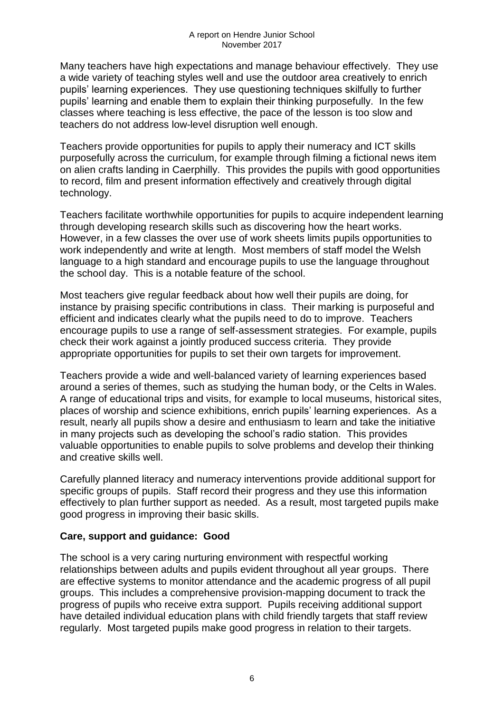Many teachers have high expectations and manage behaviour effectively. They use a wide variety of teaching styles well and use the outdoor area creatively to enrich pupils' learning experiences. They use questioning techniques skilfully to further pupils' learning and enable them to explain their thinking purposefully. In the few classes where teaching is less effective, the pace of the lesson is too slow and teachers do not address low-level disruption well enough.

Teachers provide opportunities for pupils to apply their numeracy and ICT skills purposefully across the curriculum, for example through filming a fictional news item on alien crafts landing in Caerphilly. This provides the pupils with good opportunities to record, film and present information effectively and creatively through digital technology.

Teachers facilitate worthwhile opportunities for pupils to acquire independent learning through developing research skills such as discovering how the heart works. However, in a few classes the over use of work sheets limits pupils opportunities to work independently and write at length. Most members of staff model the Welsh language to a high standard and encourage pupils to use the language throughout the school day. This is a notable feature of the school.

Most teachers give regular feedback about how well their pupils are doing, for instance by praising specific contributions in class. Their marking is purposeful and efficient and indicates clearly what the pupils need to do to improve. Teachers encourage pupils to use a range of self-assessment strategies. For example, pupils check their work against a jointly produced success criteria. They provide appropriate opportunities for pupils to set their own targets for improvement.

Teachers provide a wide and well-balanced variety of learning experiences based around a series of themes, such as studying the human body, or the Celts in Wales. A range of educational trips and visits, for example to local museums, historical sites, places of worship and science exhibitions, enrich pupils' learning experiences. As a result, nearly all pupils show a desire and enthusiasm to learn and take the initiative in many projects such as developing the school's radio station. This provides valuable opportunities to enable pupils to solve problems and develop their thinking and creative skills well.

Carefully planned literacy and numeracy interventions provide additional support for specific groups of pupils. Staff record their progress and they use this information effectively to plan further support as needed. As a result, most targeted pupils make good progress in improving their basic skills.

#### **Care, support and guidance: Good**

The school is a very caring nurturing environment with respectful working relationships between adults and pupils evident throughout all year groups. There are effective systems to monitor attendance and the academic progress of all pupil groups. This includes a comprehensive provision-mapping document to track the progress of pupils who receive extra support. Pupils receiving additional support have detailed individual education plans with child friendly targets that staff review regularly. Most targeted pupils make good progress in relation to their targets.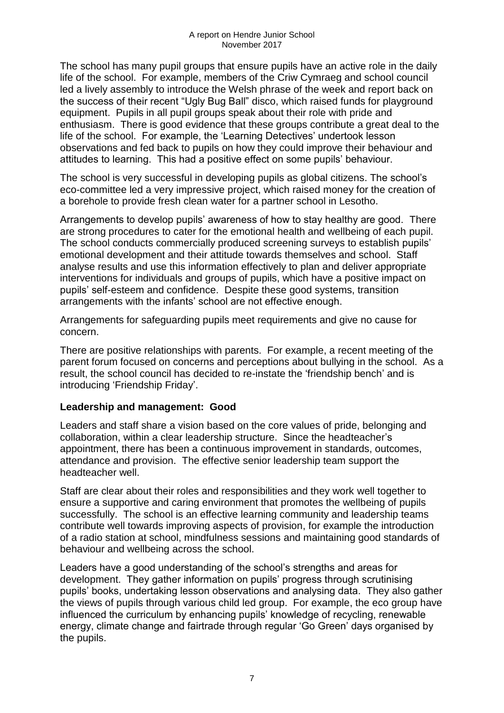The school has many pupil groups that ensure pupils have an active role in the daily life of the school. For example, members of the Criw Cymraeg and school council led a lively assembly to introduce the Welsh phrase of the week and report back on the success of their recent "Ugly Bug Ball" disco, which raised funds for playground equipment. Pupils in all pupil groups speak about their role with pride and enthusiasm. There is good evidence that these groups contribute a great deal to the life of the school. For example, the 'Learning Detectives' undertook lesson observations and fed back to pupils on how they could improve their behaviour and attitudes to learning. This had a positive effect on some pupils' behaviour.

The school is very successful in developing pupils as global citizens. The school's eco-committee led a very impressive project, which raised money for the creation of a borehole to provide fresh clean water for a partner school in Lesotho.

Arrangements to develop pupils' awareness of how to stay healthy are good. There are strong procedures to cater for the emotional health and wellbeing of each pupil. The school conducts commercially produced screening surveys to establish pupils' emotional development and their attitude towards themselves and school. Staff analyse results and use this information effectively to plan and deliver appropriate interventions for individuals and groups of pupils, which have a positive impact on pupils' self-esteem and confidence. Despite these good systems, transition arrangements with the infants' school are not effective enough.

Arrangements for safeguarding pupils meet requirements and give no cause for concern.

There are positive relationships with parents. For example, a recent meeting of the parent forum focused on concerns and perceptions about bullying in the school. As a result, the school council has decided to re-instate the 'friendship bench' and is introducing 'Friendship Friday'.

#### **Leadership and management: Good**

Leaders and staff share a vision based on the core values of pride, belonging and collaboration, within a clear leadership structure. Since the headteacher's appointment, there has been a continuous improvement in standards, outcomes, attendance and provision. The effective senior leadership team support the headteacher well.

Staff are clear about their roles and responsibilities and they work well together to ensure a supportive and caring environment that promotes the wellbeing of pupils successfully. The school is an effective learning community and leadership teams contribute well towards improving aspects of provision, for example the introduction of a radio station at school, mindfulness sessions and maintaining good standards of behaviour and wellbeing across the school.

Leaders have a good understanding of the school's strengths and areas for development. They gather information on pupils' progress through scrutinising pupils' books, undertaking lesson observations and analysing data. They also gather the views of pupils through various child led group. For example, the eco group have influenced the curriculum by enhancing pupils' knowledge of recycling, renewable energy, climate change and fairtrade through regular 'Go Green' days organised by the pupils.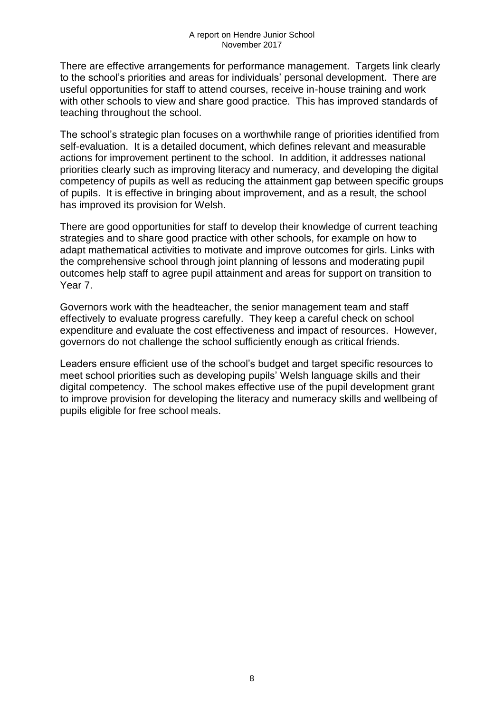There are effective arrangements for performance management. Targets link clearly to the school's priorities and areas for individuals' personal development. There are useful opportunities for staff to attend courses, receive in-house training and work with other schools to view and share good practice. This has improved standards of teaching throughout the school.

The school's strategic plan focuses on a worthwhile range of priorities identified from self-evaluation. It is a detailed document, which defines relevant and measurable actions for improvement pertinent to the school. In addition, it addresses national priorities clearly such as improving literacy and numeracy, and developing the digital competency of pupils as well as reducing the attainment gap between specific groups of pupils. It is effective in bringing about improvement, and as a result, the school has improved its provision for Welsh.

There are good opportunities for staff to develop their knowledge of current teaching strategies and to share good practice with other schools, for example on how to adapt mathematical activities to motivate and improve outcomes for girls. Links with the comprehensive school through joint planning of lessons and moderating pupil outcomes help staff to agree pupil attainment and areas for support on transition to Year 7.

Governors work with the headteacher, the senior management team and staff effectively to evaluate progress carefully. They keep a careful check on school expenditure and evaluate the cost effectiveness and impact of resources. However, governors do not challenge the school sufficiently enough as critical friends.

Leaders ensure efficient use of the school's budget and target specific resources to meet school priorities such as developing pupils' Welsh language skills and their digital competency. The school makes effective use of the pupil development grant to improve provision for developing the literacy and numeracy skills and wellbeing of pupils eligible for free school meals.